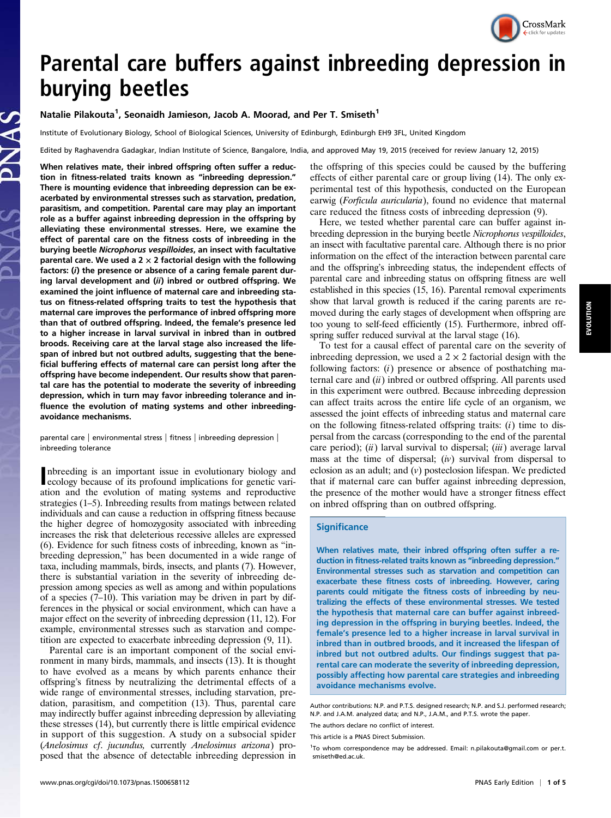

# Parental care buffers against inbreeding depression in burying beetles

## Natalie Pilakouta<sup>1</sup>, Seonaidh Jamieson, Jacob A. Moorad, and Per T. Smiseth<sup>1</sup>

Institute of Evolutionary Biology, School of Biological Sciences, University of Edinburgh, Edinburgh EH9 3FL, United Kingdom

Edited by Raghavendra Gadagkar, Indian Institute of Science, Bangalore, India, and approved May 19, 2015 (received for review January 12, 2015)

When relatives mate, their inbred offspring often suffer a reduction in fitness-related traits known as "inbreeding depression." There is mounting evidence that inbreeding depression can be exacerbated by environmental stresses such as starvation, predation, parasitism, and competition. Parental care may play an important role as a buffer against inbreeding depression in the offspring by alleviating these environmental stresses. Here, we examine the effect of parental care on the fitness costs of inbreeding in the burying beetle Nicrophorus vespilloides, an insect with facultative parental care. We used a  $2 \times 2$  factorial design with the following factors: (i) the presence or absence of a caring female parent during larval development and (ii) inbred or outbred offspring. We examined the joint influence of maternal care and inbreeding status on fitness-related offspring traits to test the hypothesis that maternal care improves the performance of inbred offspring more than that of outbred offspring. Indeed, the female's presence led to a higher increase in larval survival in inbred than in outbred broods. Receiving care at the larval stage also increased the lifespan of inbred but not outbred adults, suggesting that the beneficial buffering effects of maternal care can persist long after the offspring have become independent. Our results show that parental care has the potential to moderate the severity of inbreeding depression, which in turn may favor inbreeding tolerance and influence the evolution of mating systems and other inbreedingavoidance mechanisms.

parental care | environmental stress | fitness | inbreeding depression | inbreeding tolerance

nbreeding is an important issue in evolutionary biology and ecology because of its profound implications for genetic variecology because of its profound implications for genetic variation and the evolution of mating systems and reproductive strategies (1–5). Inbreeding results from matings between related individuals and can cause a reduction in offspring fitness because the higher degree of homozygosity associated with inbreeding increases the risk that deleterious recessive alleles are expressed (6). Evidence for such fitness costs of inbreeding, known as "inbreeding depression," has been documented in a wide range of taxa, including mammals, birds, insects, and plants (7). However, there is substantial variation in the severity of inbreeding depression among species as well as among and within populations of a species (7–10). This variation may be driven in part by differences in the physical or social environment, which can have a major effect on the severity of inbreeding depression (11, 12). For example, environmental stresses such as starvation and competition are expected to exacerbate inbreeding depression (9, 11).

Parental care is an important component of the social environment in many birds, mammals, and insects (13). It is thought to have evolved as a means by which parents enhance their offspring's fitness by neutralizing the detrimental effects of a wide range of environmental stresses, including starvation, predation, parasitism, and competition (13). Thus, parental care may indirectly buffer against inbreeding depression by alleviating these stresses (14), but currently there is little empirical evidence in support of this suggestion. A study on a subsocial spider (Anelosimus cf. jucundus, currently Anelosimus arizona) proposed that the absence of detectable inbreeding depression in the offspring of this species could be caused by the buffering effects of either parental care or group living (14). The only experimental test of this hypothesis, conducted on the European earwig (Forficula auricularia), found no evidence that maternal care reduced the fitness costs of inbreeding depression (9).

Here, we tested whether parental care can buffer against inbreeding depression in the burying beetle Nicrophorus vespilloides, an insect with facultative parental care. Although there is no prior information on the effect of the interaction between parental care and the offspring's inbreeding status, the independent effects of parental care and inbreeding status on offspring fitness are well established in this species (15, 16). Parental removal experiments show that larval growth is reduced if the caring parents are removed during the early stages of development when offspring are too young to self-feed efficiently (15). Furthermore, inbred offspring suffer reduced survival at the larval stage (16).

To test for a causal effect of parental care on the severity of inbreeding depression, we used a  $2 \times 2$  factorial design with the following factors:  $(i)$  presence or absence of posthatching maternal care and  $(ii)$  inbred or outbred offspring. All parents used in this experiment were outbred. Because inbreeding depression can affect traits across the entire life cycle of an organism, we assessed the joint effects of inbreeding status and maternal care on the following fitness-related offspring traits:  $(i)$  time to dispersal from the carcass (corresponding to the end of the parental care period);  $(ii)$  larval survival to dispersal;  $(iii)$  average larval mass at the time of dispersal;  $(iv)$  survival from dispersal to eclosion as an adult; and  $(v)$  posteclosion lifespan. We predicted that if maternal care can buffer against inbreeding depression, the presence of the mother would have a stronger fitness effect on inbred offspring than on outbred offspring.

### **Significance**

When relatives mate, their inbred offspring often suffer a reduction in fitness-related traits known as "inbreeding depression." Environmental stresses such as starvation and competition can exacerbate these fitness costs of inbreeding. However, caring parents could mitigate the fitness costs of inbreeding by neutralizing the effects of these environmental stresses. We tested the hypothesis that maternal care can buffer against inbreeding depression in the offspring in burying beetles. Indeed, the female's presence led to a higher increase in larval survival in inbred than in outbred broods, and it increased the lifespan of inbred but not outbred adults. Our findings suggest that parental care can moderate the severity of inbreeding depression, possibly affecting how parental care strategies and inbreeding avoidance mechanisms evolve.

Author contributions: N.P. and P.T.S. designed research; N.P. and S.J. performed research; N.P. and J.A.M. analyzed data; and N.P., J.A.M., and P.T.S. wrote the paper.

The authors declare no conflict of interest.

This article is a PNAS Direct Submission.

<sup>&</sup>lt;sup>1</sup>To whom correspondence may be addressed. Email: [n.pilakouta@gmail.com](mailto:n.pilakouta@gmail.com) or [per.t.](mailto:per.t.smiseth@ed.ac.uk) [smiseth@ed.ac.uk.](mailto:per.t.smiseth@ed.ac.uk)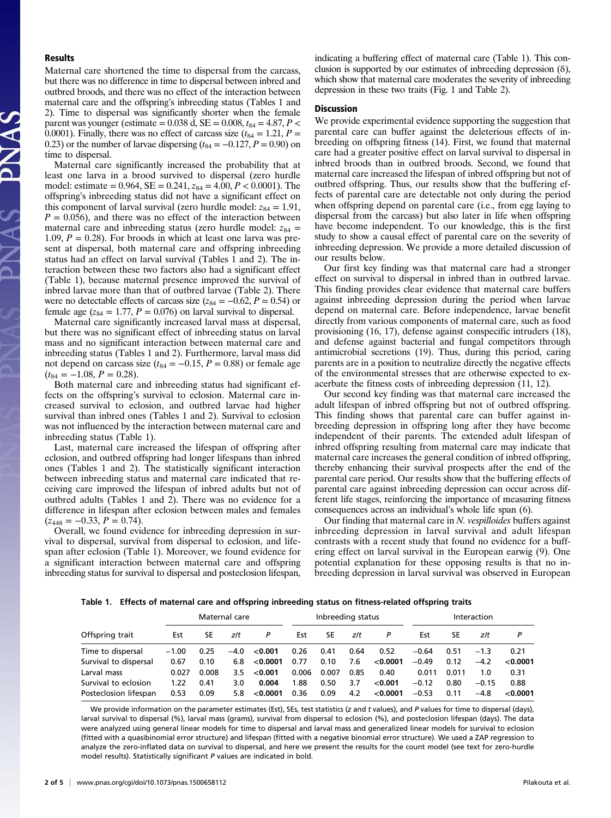#### Results

Maternal care shortened the time to dispersal from the carcass, but there was no difference in time to dispersal between inbred and outbred broods, and there was no effect of the interaction between maternal care and the offspring's inbreeding status (Tables 1 and 2). Time to dispersal was significantly shorter when the female parent was younger (estimate =  $0.038$  d, SE =  $0.008$ ,  $t_{84} = 4.87$ , P < 0.0001). Finally, there was no effect of carcass size  $(t_{84} = 1.21, P =$ 0.23) or the number of larvae dispersing  $(t<sub>84</sub> = -0.127, P = 0.90)$  on time to dispersal.

Maternal care significantly increased the probability that at least one larva in a brood survived to dispersal (zero hurdle model: estimate =  $0.964$ , SE =  $0.241$ ,  $z_{84} = 4.00$ ,  $P < 0.0001$ ). The offspring's inbreeding status did not have a significant effect on this component of larval survival (zero hurdle model:  $z_{84} = 1.91$ ,  $P = 0.056$ , and there was no effect of the interaction between maternal care and inbreeding status (zero hurdle model:  $z_{84}$  = 1.09,  $P = 0.28$ ). For broods in which at least one larva was present at dispersal, both maternal care and offspring inbreeding status had an effect on larval survival (Tables 1 and 2). The interaction between these two factors also had a significant effect (Table 1), because maternal presence improved the survival of inbred larvae more than that of outbred larvae (Table 2). There were no detectable effects of carcass size ( $z_{84} = -0.62$ ,  $P = 0.54$ ) or female age  $(z_{84} = 1.77, P = 0.076)$  on larval survival to dispersal.

Maternal care significantly increased larval mass at dispersal, but there was no significant effect of inbreeding status on larval mass and no significant interaction between maternal care and inbreeding status (Tables 1 and 2). Furthermore, larval mass did not depend on carcass size ( $t_{84} = -0.15$ ,  $P = 0.88$ ) or female age  $(t<sub>84</sub> = -1.08, P = 0.28).$ 

Both maternal care and inbreeding status had significant effects on the offspring's survival to eclosion. Maternal care increased survival to eclosion, and outbred larvae had higher survival than inbred ones (Tables 1 and 2). Survival to eclosion was not influenced by the interaction between maternal care and inbreeding status (Table 1).

Last, maternal care increased the lifespan of offspring after eclosion, and outbred offspring had longer lifespans than inbred ones (Tables 1 and 2). The statistically significant interaction between inbreeding status and maternal care indicated that receiving care improved the lifespan of inbred adults but not of outbred adults (Tables 1 and 2). There was no evidence for a difference in lifespan after eclosion between males and females  $(z_{448} = -0.33, P = 0.74).$ 

Overall, we found evidence for inbreeding depression in survival to dispersal, survival from dispersal to eclosion, and lifespan after eclosion (Table 1). Moreover, we found evidence for a significant interaction between maternal care and offspring inbreeding status for survival to dispersal and posteclosion lifespan, indicating a buffering effect of maternal care (Table 1). This conclusion is supported by our estimates of inbreeding depression (δ), which show that maternal care moderates the severity of inbreeding depression in these two traits (Fig. 1 and Table 2).

#### Discussion

We provide experimental evidence supporting the suggestion that parental care can buffer against the deleterious effects of inbreeding on offspring fitness (14). First, we found that maternal care had a greater positive effect on larval survival to dispersal in inbred broods than in outbred broods. Second, we found that maternal care increased the lifespan of inbred offspring but not of outbred offspring. Thus, our results show that the buffering effects of parental care are detectable not only during the period when offspring depend on parental care (i.e., from egg laying to dispersal from the carcass) but also later in life when offspring have become independent. To our knowledge, this is the first study to show a causal effect of parental care on the severity of inbreeding depression. We provide a more detailed discussion of our results below.

Our first key finding was that maternal care had a stronger effect on survival to dispersal in inbred than in outbred larvae. This finding provides clear evidence that maternal care buffers against inbreeding depression during the period when larvae depend on maternal care. Before independence, larvae benefit directly from various components of maternal care, such as food provisioning (16, 17), defense against conspecific intruders (18), and defense against bacterial and fungal competitors through antimicrobial secretions (19). Thus, during this period, caring parents are in a position to neutralize directly the negative effects of the environmental stresses that are otherwise expected to exacerbate the fitness costs of inbreeding depression (11, 12).

Our second key finding was that maternal care increased the adult lifespan of inbred offspring but not of outbred offspring. This finding shows that parental care can buffer against inbreeding depression in offspring long after they have become independent of their parents. The extended adult lifespan of inbred offspring resulting from maternal care may indicate that maternal care increases the general condition of inbred offspring, thereby enhancing their survival prospects after the end of the parental care period. Our results show that the buffering effects of parental care against inbreeding depression can occur across different life stages, reinforcing the importance of measuring fitness consequences across an individual's whole life span (6).

Our finding that maternal care in N. vespilloides buffers against inbreeding depression in larval survival and adult lifespan contrasts with a recent study that found no evidence for a buffering effect on larval survival in the European earwig (9). One potential explanation for these opposing results is that no inbreeding depression in larval survival was observed in European

| Table 1. Effects of maternal care and offspring inbreeding status on fitness-related offspring traits |  |  |  |
|-------------------------------------------------------------------------------------------------------|--|--|--|
|                                                                                                       |  |  |  |

|                       | Maternal care |       |        | Inbreeding status |       |       | Interaction |          |         |       |         |          |
|-----------------------|---------------|-------|--------|-------------------|-------|-------|-------------|----------|---------|-------|---------|----------|
| Offspring trait       | Est           | SE    | z/t    | P                 | Est   | SE    | z/t         | P        | Est     | SE    | zlt     | P        |
| Time to dispersal     | $-1.00$       | 0.25  | $-4.0$ | $<$ 0.001         | 0.26  | 0.41  | 0.64        | 0.52     | $-0.64$ | 0.51  | $-1.3$  | 0.21     |
| Survival to dispersal | 0.67          | 0.10  | 6.8    | < 0.0001          | 0.77  | 0.10  | 7.6         | < 0.0001 | $-0.49$ | 0.12  | $-4.2$  | < 0.0001 |
| Larval mass           | 0.027         | 0.008 | 3.5.   | < 0.001           | 0.006 | 0.007 | 0.85        | 0.40     | 0.011   | 0.011 | 1.0     | 0.31     |
| Survival to eclosion  | 1.22          | 0.41  | 3.0    | 0.004             | 1.88  | 0.50  | 3.7         | < 0.001  | $-0.12$ | 0.80  | $-0.15$ | 0.88     |
| Posteclosion lifespan | 0.53          | 0.09  | 5.8    | < 0.0001          | 0.36  | 0.09  | 4.2         | < 0.0001 | $-0.53$ | 0.11  | $-4.8$  | < 0.0001 |

We provide information on the parameter estimates (Est), SEs, test statistics (z and t values), and P values for time to dispersal (days), larval survival to dispersal (%), larval mass (grams), survival from dispersal to eclosion (%), and posteclosion lifespan (days). The data were analyzed using general linear models for time to dispersal and larval mass and generalized linear models for survival to eclosion (fitted with a quasibinomial error structure) and lifespan (fitted with a negative binomial error structure). We used a ZAP regression to analyze the zero-inflated data on survival to dispersal, and here we present the results for the count model (see text for zero-hurdle model results). Statistically significant P values are indicated in bold.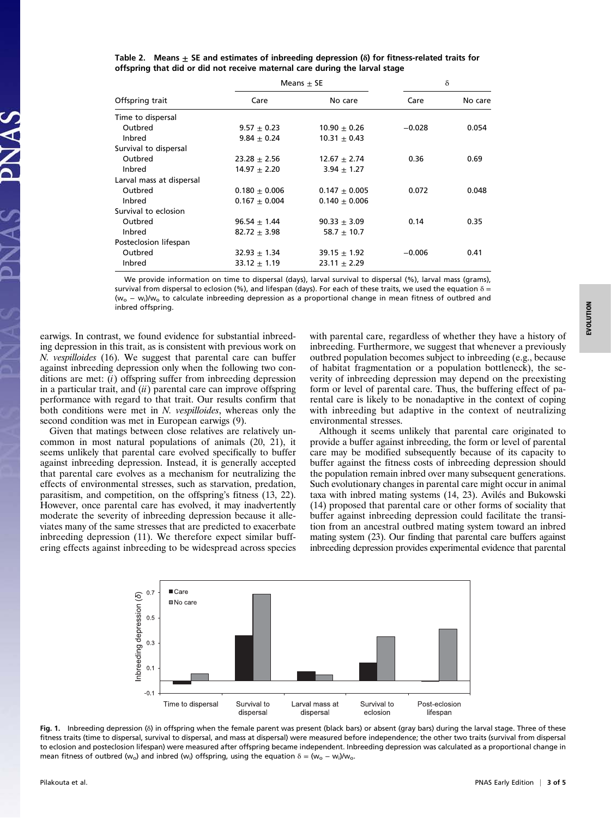|                          | Means $\pm$ SE   | $\delta$         |          |         |  |
|--------------------------|------------------|------------------|----------|---------|--|
| Offspring trait          | Care             | No care          | Care     | No care |  |
| Time to dispersal        |                  |                  |          |         |  |
| Outbred                  | $9.57 \pm 0.23$  | $10.90 + 0.26$   | $-0.028$ | 0.054   |  |
| Inbred                   | $9.84 \pm 0.24$  | $10.31 \pm 0.43$ |          |         |  |
| Survival to dispersal    |                  |                  |          |         |  |
| Outbred                  | $23.28 \pm 2.56$ | $12.67 \pm 2.74$ | 0.36     | 0.69    |  |
| Inbred                   | $14.97 \pm 2.20$ | $3.94 + 1.27$    |          |         |  |
| Larval mass at dispersal |                  |                  |          |         |  |
| Outbred                  | $0.180 + 0.006$  | $0.147 + 0.005$  | 0.072    | 0.048   |  |
| Inbred                   | $0.167 + 0.004$  | $0.140 + 0.006$  |          |         |  |
| Survival to eclosion     |                  |                  |          |         |  |
| Outbred                  | $96.54 \pm 1.44$ | $90.33 + 3.09$   | 0.14     | 0.35    |  |
| Inbred                   | $82.72 \pm 3.98$ | 58.7 $\pm$ 10.7  |          |         |  |
| Posteclosion lifespan    |                  |                  |          |         |  |
| Outbred                  | $32.93 \pm 1.34$ | $39.15 \pm 1.92$ | $-0.006$ | 0.41    |  |
| <b>Inbred</b>            | $33.12 \pm 1.19$ | $23.11 \pm 2.29$ |          |         |  |

Table 2. Means  $\pm$  SE and estimates of inbreeding depression ( $\delta$ ) for fitness-related traits for offspring that did or did not receive maternal care during the larval stage

We provide information on time to dispersal (days), larval survival to dispersal (%), larval mass (grams), survival from dispersal to eclosion (%), and lifespan (days). For each of these traits, we used the equation  $\delta$  = (wo − wi)/wo to calculate inbreeding depression as a proportional change in mean fitness of outbred and inbred offspring.

earwigs. In contrast, we found evidence for substantial inbreeding depression in this trait, as is consistent with previous work on N. vespilloides (16). We suggest that parental care can buffer against inbreeding depression only when the following two conditions are met:  $(i)$  offspring suffer from inbreeding depression in a particular trait, and  $(ii)$  parental care can improve offspring performance with regard to that trait. Our results confirm that both conditions were met in N. vespilloides, whereas only the second condition was met in European earwigs (9).

Given that matings between close relatives are relatively uncommon in most natural populations of animals (20, 21), it seems unlikely that parental care evolved specifically to buffer against inbreeding depression. Instead, it is generally accepted that parental care evolves as a mechanism for neutralizing the effects of environmental stresses, such as starvation, predation, parasitism, and competition, on the offspring's fitness (13, 22). However, once parental care has evolved, it may inadvertently moderate the severity of inbreeding depression because it alleviates many of the same stresses that are predicted to exacerbate inbreeding depression (11). We therefore expect similar buffering effects against inbreeding to be widespread across species

with parental care, regardless of whether they have a history of inbreeding. Furthermore, we suggest that whenever a previously outbred population becomes subject to inbreeding (e.g., because of habitat fragmentation or a population bottleneck), the severity of inbreeding depression may depend on the preexisting form or level of parental care. Thus, the buffering effect of parental care is likely to be nonadaptive in the context of coping with inbreeding but adaptive in the context of neutralizing environmental stresses.

Although it seems unlikely that parental care originated to provide a buffer against inbreeding, the form or level of parental care may be modified subsequently because of its capacity to buffer against the fitness costs of inbreeding depression should the population remain inbred over many subsequent generations. Such evolutionary changes in parental care might occur in animal taxa with inbred mating systems (14, 23). Avilés and Bukowski (14) proposed that parental care or other forms of sociality that buffer against inbreeding depression could facilitate the transition from an ancestral outbred mating system toward an inbred mating system (23). Our finding that parental care buffers against inbreeding depression provides experimental evidence that parental



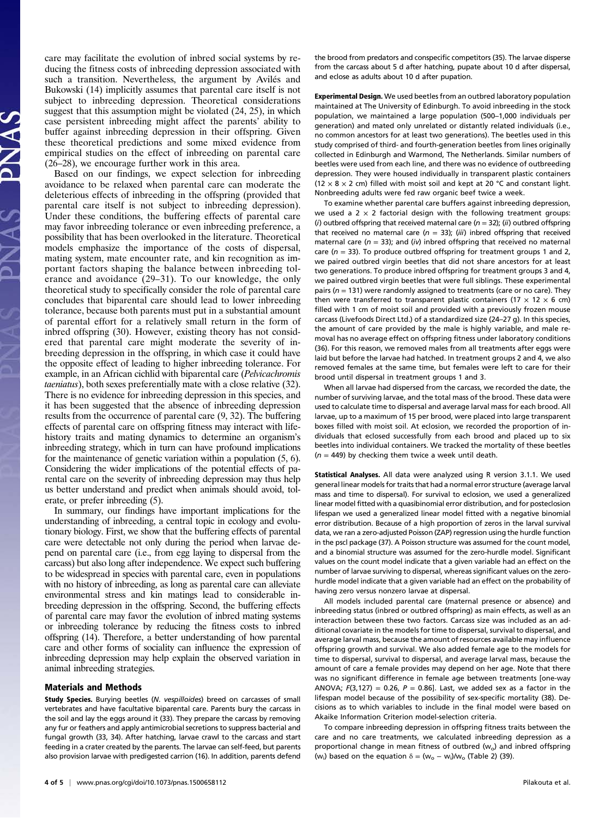care may facilitate the evolution of inbred social systems by reducing the fitness costs of inbreeding depression associated with such a transition. Nevertheless, the argument by Avilés and Bukowski (14) implicitly assumes that parental care itself is not subject to inbreeding depression. Theoretical considerations suggest that this assumption might be violated (24, 25), in which case persistent inbreeding might affect the parents' ability to buffer against inbreeding depression in their offspring. Given these theoretical predictions and some mixed evidence from empirical studies on the effect of inbreeding on parental care (26–28), we encourage further work in this area.

Based on our findings, we expect selection for inbreeding avoidance to be relaxed when parental care can moderate the deleterious effects of inbreeding in the offspring (provided that parental care itself is not subject to inbreeding depression). Under these conditions, the buffering effects of parental care may favor inbreeding tolerance or even inbreeding preference, a possibility that has been overlooked in the literature. Theoretical models emphasize the importance of the costs of dispersal, mating system, mate encounter rate, and kin recognition as important factors shaping the balance between inbreeding tolerance and avoidance (29–31). To our knowledge, the only theoretical study to specifically consider the role of parental care concludes that biparental care should lead to lower inbreeding tolerance, because both parents must put in a substantial amount of parental effort for a relatively small return in the form of inbred offspring (30). However, existing theory has not considered that parental care might moderate the severity of inbreeding depression in the offspring, in which case it could have the opposite effect of leading to higher inbreeding tolerance. For example, in an African cichlid with biparental care (Pelvicachromis taeniatus), both sexes preferentially mate with a close relative (32). There is no evidence for inbreeding depression in this species, and it has been suggested that the absence of inbreeding depression results from the occurrence of parental care (9, 32). The buffering effects of parental care on offspring fitness may interact with lifehistory traits and mating dynamics to determine an organism's inbreeding strategy, which in turn can have profound implications for the maintenance of genetic variation within a population (5, 6). Considering the wider implications of the potential effects of parental care on the severity of inbreeding depression may thus help us better understand and predict when animals should avoid, tolerate, or prefer inbreeding (5).

In summary, our findings have important implications for the understanding of inbreeding, a central topic in ecology and evolutionary biology. First, we show that the buffering effects of parental care were detectable not only during the period when larvae depend on parental care (i.e., from egg laying to dispersal from the carcass) but also long after independence. We expect such buffering to be widespread in species with parental care, even in populations with no history of inbreeding, as long as parental care can alleviate environmental stress and kin matings lead to considerable inbreeding depression in the offspring. Second, the buffering effects of parental care may favor the evolution of inbred mating systems or inbreeding tolerance by reducing the fitness costs to inbred offspring (14). Therefore, a better understanding of how parental care and other forms of sociality can influence the expression of inbreeding depression may help explain the observed variation in animal inbreeding strategies.

#### Materials and Methods

Study Species. Burying beetles (N. vespilloides) breed on carcasses of small vertebrates and have facultative biparental care. Parents bury the carcass in the soil and lay the eggs around it (33). They prepare the carcass by removing any fur or feathers and apply antimicrobial secretions to suppress bacterial and fungal growth (33, 34). After hatching, larvae crawl to the carcass and start feeding in a crater created by the parents. The larvae can self-feed, but parents also provision larvae with predigested carrion (16). In addition, parents defend the brood from predators and conspecific competitors (35). The larvae disperse from the carcass about 5 d after hatching, pupate about 10 d after dispersal, and eclose as adults about 10 d after pupation.

Experimental Design. We used beetles from an outbred laboratory population maintained at The University of Edinburgh. To avoid inbreeding in the stock population, we maintained a large population (500–1,000 individuals per generation) and mated only unrelated or distantly related individuals (i.e., no common ancestors for at least two generations). The beetles used in this study comprised of third- and fourth-generation beetles from lines originally collected in Edinburgh and Warmond, The Netherlands. Similar numbers of beetles were used from each line, and there was no evidence of outbreeding depression. They were housed individually in transparent plastic containers (12  $\times$  8  $\times$  2 cm) filled with moist soil and kept at 20 °C and constant light. Nonbreeding adults were fed raw organic beef twice a week.

To examine whether parental care buffers against inbreeding depression, we used a  $2 \times 2$  factorial design with the following treatment groups: (i) outbred offspring that received maternal care ( $n = 32$ ); (ii) outbred offspring that received no maternal care ( $n = 33$ ); (iii) inbred offspring that received maternal care ( $n = 33$ ); and (iv) inbred offspring that received no maternal care ( $n = 33$ ). To produce outbred offspring for treatment groups 1 and 2, we paired outbred virgin beetles that did not share ancestors for at least two generations. To produce inbred offspring for treatment groups 3 and 4, we paired outbred virgin beetles that were full siblings. These experimental pairs ( $n = 131$ ) were randomly assigned to treatments (care or no care). They then were transferred to transparent plastic containers (17  $\times$  12  $\times$  6 cm) filled with 1 cm of moist soil and provided with a previously frozen mouse carcass (Livefoods Direct Ltd.) of a standardized size (24–27 g). In this species, the amount of care provided by the male is highly variable, and male removal has no average effect on offspring fitness under laboratory conditions (36). For this reason, we removed males from all treatments after eggs were laid but before the larvae had hatched. In treatment groups 2 and 4, we also removed females at the same time, but females were left to care for their brood until dispersal in treatment groups 1 and 3.

When all larvae had dispersed from the carcass, we recorded the date, the number of surviving larvae, and the total mass of the brood. These data were used to calculate time to dispersal and average larval mass for each brood. All larvae, up to a maximum of 15 per brood, were placed into large transparent boxes filled with moist soil. At eclosion, we recorded the proportion of individuals that eclosed successfully from each brood and placed up to six beetles into individual containers. We tracked the mortality of these beetles  $(n = 449)$  by checking them twice a week until death.

Statistical Analyses. All data were analyzed using R version 3.1.1. We used general linear models for traits that had a normal error structure (average larval mass and time to dispersal). For survival to eclosion, we used a generalized linear model fitted with a quasibinomial error distribution, and for posteclosion lifespan we used a generalized linear model fitted with a negative binomial error distribution. Because of a high proportion of zeros in the larval survival data, we ran a zero-adjusted Poisson (ZAP) regression using the hurdle function in the pscl package (37). A Poisson structure was assumed for the count model, and a binomial structure was assumed for the zero-hurdle model. Significant values on the count model indicate that a given variable had an effect on the number of larvae surviving to dispersal, whereas significant values on the zerohurdle model indicate that a given variable had an effect on the probability of having zero versus nonzero larvae at dispersal.

All models included parental care (maternal presence or absence) and inbreeding status (inbred or outbred offspring) as main effects, as well as an interaction between these two factors. Carcass size was included as an additional covariate in the models for time to dispersal, survival to dispersal, and average larval mass, because the amount of resources available may influence offspring growth and survival. We also added female age to the models for time to dispersal, survival to dispersal, and average larval mass, because the amount of care a female provides may depend on her age. Note that there was no significant difference in female age between treatments [one-way ANOVA;  $F(3,127) = 0.26$ ,  $P = 0.86$ ]. Last, we added sex as a factor in the lifespan model because of the possibility of sex-specific mortality (38). Decisions as to which variables to include in the final model were based on Akaike Information Criterion model-selection criteria.

To compare inbreeding depression in offspring fitness traits between the care and no care treatments, we calculated inbreeding depression as a proportional change in mean fitness of outbred  $(w_0)$  and inbred offspring (w<sub>i</sub>) based on the equation  $\delta = (w_o - w_i)/w_o$  (Table 2) (39).